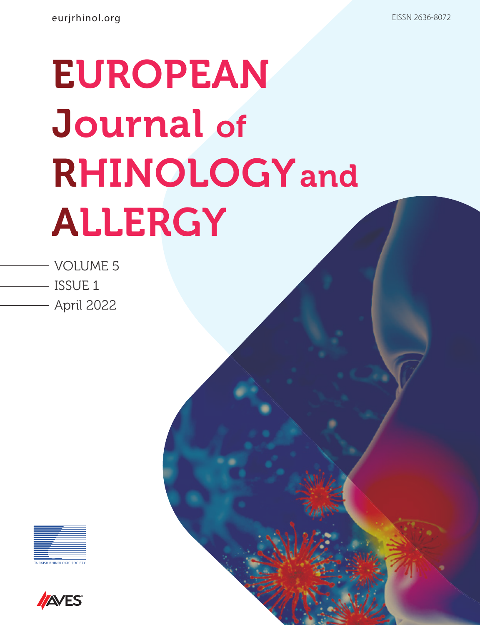# EUROPEAN Journal of RHINOLOGYand ALLERGY

- VOLUME 5 ISSUE 1
	- April 2022



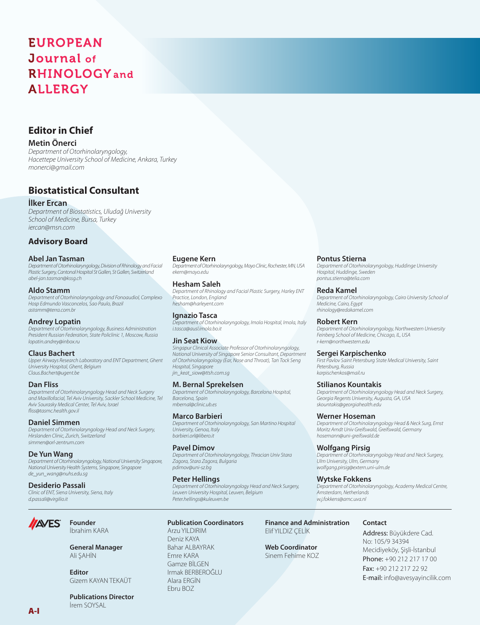# **EUROPEAN** Journal of **RHINOLOGY** and **ALLERGY**

# **Editor in Chief**

# **Metin Önerci**

*Department of Otorhinolaryngology, Hacettepe University School of Medicine, Ankara, Turkey monerci@gmail.com*

# **Biostatistical Consultant**

# **İlker Ercan**

*Department of Biostatistics, Uludağ University School of Medicine, Bursa, Turkey iercan@msn.com* 

# **Advisory Board**

#### **Abel Jan Tasman**

*Department of Otorhinolaryngology, Division of Rhinology and Facial Plastic Surgery, Cantonal Hospital St Gallen, St Gallen, Switzerland abel-jan.tasman@kssg.ch*

#### **Aldo Stamm**

*Department of Otorhinolaryngology and Fonoaudiol, Complexo Hosp Edmundo Vasconcelos, Sao Paulo, Brazil astamm@terra.com.br*

# **Andrey Lopatin**

*Department of Otorhinolaryngology, Business Administration President Russian Federation, State Policlinic 1, Moscow, Russia lopatin.andrey@inbox.ru*

# **Claus Bachert**

*Upper Airways Research Laboratory and ENT Department, Ghent University Hospital, Ghent, Belgium Claus.Bachert@ugent.be*

# **Dan Fliss**

*Department of Otorhinolaryngology Head and Neck Surgery and Maxillofacial, Tel Aviv University, Sackler School Medicine, Tel Aviv Sourasky Medical Center, Tel Aviv, Israel fliss@tasmc.health.gov.il*

# **Daniel Simmen**

*Department of Otorhinolaryngology Head and Neck Surgery, Hirslanden Clinic, Zurich, Switzerland simmen@orl-zentrum.com*

#### **De Yun Wang**

**AVES** 

*Department of Otorhinolaryngology, National University Singapore, National University Health Systems, Singapore, Singapore de\_yun\_wang@nuhs.edu.sg*

#### **Desiderio Passali**

*Clinic of ENT, Siena University, Siena, Italy d.passali@virgilio.it*

> **Founder** İbrahim KARA

**Editor**

# **Eugene Kern**

*Department of Otorhinolaryngology, Mayo Clinic, Rochester, MN, USA ekern@mayo.edu*

# **Hesham Saleh**

*Department of Rhinology and Facial Plastic Surgery, Harley ENT Practice, London, England hesham@harleyent.com*

**Ignazio Tasca**  *Department of Otorhinolaryngology, Imola Hospital, Imola, Italy i.tasca@ausl.imola.bo.it*

# **Jin Seat Kiow**

*Singapur Clinical Associate Professor of Otorhinolaryngology, National University of Singapore Senior Consultant, Department of Otorhinolaryngology (Ear, Nose and Throat), Tan Tock Seng Hospital, Singapore jin\_keat\_siow@ttsh.com.sg*

# **M. Bernal Sprekelsen**

*Department of Otorhinolaryngology, Barcelona Hospital, Barcelona, Spain mbernal@clinic.ub.es*

# **Marco Barbieri**

*Department of Otorhinolaryngology, San Martino Hospital University, Genoa, Italy barbieri.orl@libero.it*

# **Pavel Dimov**

*Department of Otorhinolaryngology, Thracian Univ Stara Zagora, Stara Zagora, Bulgaria pdimov@uni-sz.bg*

# **Peter Hellings**

*Department of Otorhinolaryngology Head and Neck Surgery, Leuven University Hospital, Leuven, Belgium Peter.hellings@kuleuven.be*

# **Publication Coordinators**

Arzu YILDIRIM Deniz KAYA Bahar ALBAYRAK Emre KARA Gamze BİLGEN Irmak BERBEROĞLU Alara ERGİN Ebru BOZ

#### **Pontus Stierna**

*Department of Otorhinolaryngology, Huddinge University Hospital, Huddinge, Sweden pontus.stierna@telia.com*

#### **Reda Kamel**

*Department of Otorhinolaryngology, Cairo University School of Medicine, Cairo, Egypt rhinology@redakamel.com*

#### **Robert Kern**

*Department of Otorhinolaryngology, Northwestern University Feinberg School of Medicine, Chicago, IL, USA r-kern@northwestern.edu*

#### **Sergei Karpischenko**

*First Pavlov Saint Petersburg State Medical University, Saint Petersburg, Russia karpischenkos@mail.ru*

# **Stilianos Kountakis**

*Department of Otorhinolaryngology Head and Neck Surgery, Georgia Regents University, Augusta, GA, USA skountakis@georgiahealth.edu*

# **Werner Hoseman**

*Department of Otorhinolaryngology Head & Neck Surg, Ernst Moritz Arndt Univ Greifswald, Greifswald, Germany hosemann@uni-greifswald.de*

# **Wolfgang Pirsig**

*Department of Otorhinolaryngology Head and Neck Surgery, Ulm University, Ulm, Germany wolfgang.pirsig@extern.uni-ulm.de*

# **Wytske Fokkens**

**Finance and Administration**

Elif YILDIZ ÇELİK

**Web Coordinator** Sinem Fehime KOZ

*Department of Otorhinolaryngology, Academy Medical Centre, Amsterdam, Netherlands w.j.fokkens@amc.uva.nl*

# **Contact**

Address: Büyükdere Cad. No: 105/9 34394 Mecidiyeköy, Şişli-İstanbul Phone: +90 212 217 17 00 Fax: +90 212 217 22 92 E-mail: info@avesyayincilik.com

**Publications Director** İrem SOYSAL

Gizem KAYAN TEKAÜT

**General Manager** Ali ŞAHİN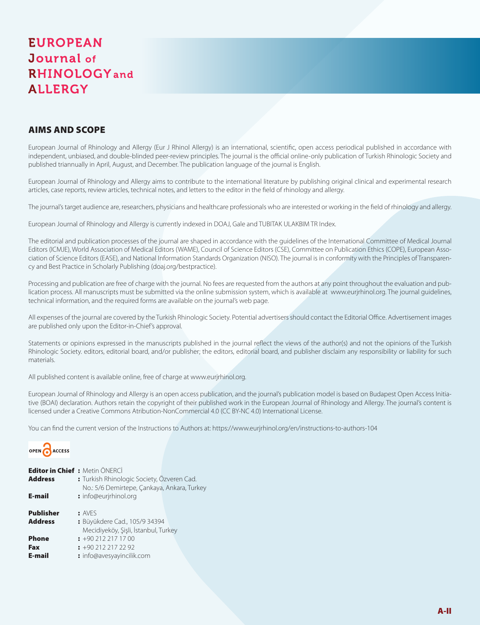# **EUROPEAN** Journal of **RHINOLOGY** and **ALLERGY**

# AIMS AND SCOPE

European Journal of Rhinology and Allergy (Eur J Rhinol Allergy) is an international, scientific, open access periodical published in accordance with independent, unbiased, and double-blinded peer-review principles. The journal is the official online-only publication of Turkish Rhinologic Society and published triannually in April, August, and December. The publication language of the journal is English.

European Journal of Rhinology and Allergy aims to contribute to the international literature by publishing original clinical and experimental research articles, case reports, review articles, technical notes, and letters to the editor in the field of rhinology and allergy.

The journal's target audience are, researchers, physicians and healthcare professionals who are interested or working in the field of rhinology and allergy.

European Journal of Rhinology and Allergy is currently indexed in DOAJ, Gale and TUBITAK ULAKBIM TR Index.

The editorial and publication processes of the journal are shaped in accordance with the guidelines of the International Committee of Medical Journal Editors (ICMJE), World Association of Medical Editors (WAME), Council of Science Editors (CSE), Committee on Publication Ethics (COPE), European Association of Science Editors (EASE), and National Information Standards Organization (NISO). The journal is in conformity with the Principles of Transparency and Best Practice in Scholarly Publishing (doaj.org/bestpractice).

Processing and publication are free of charge with the journal. No fees are requested from the authors at any point throughout the evaluation and publication process. All manuscripts must be submitted via the online submission system, which is available at www.eurjrhinol.org. The journal guidelines, technical information, and the required forms are available on the journal's web page.

All expenses of the journal are covered by the Turkish Rhinologic Society. Potential advertisers should contact the Editorial Office. Advertisement images are published only upon the Editor-in-Chief's approval.

Statements or opinions expressed in the manuscripts published in the journal reflect the views of the author(s) and not the opinions of the Turkish Rhinologic Society. editors, editorial board, and/or publisher; the editors, editorial board, and publisher disclaim any responsibility or liability for such materials.

All published content is available online, free of charge at www.eurjrhinol.org.

European Journal of Rhinology and Allergy is an open access publication, and the journal's publication model is based on Budapest Open Access Initiative (BOAI) declaration. Authors retain the copyright of their published work in the European Journal of Rhinology and Allergy. The journal's content is licensed under a Creative Commons Atribution-NonCommercial 4.0 (CC BY-NC 4.0) International License.

You can find the current version of the Instructions to Authors at: https://www.eurjrhinol.org/en/instructions-to-authors-104



| <b>Editor in Chief : Metin ÖNERCİ</b><br><b>Address</b><br>E-mail | : Turkish Rhinologic Society, Özveren Cad.<br>No.: 5/6 Demirtepe, Çankaya, Ankara, Turkey<br>: info@eurjrhinol.org |  |
|-------------------------------------------------------------------|--------------------------------------------------------------------------------------------------------------------|--|
| <b>Publisher</b><br><b>Address</b>                                | : AVFS<br>: Büyükdere Cad., 105/9 34394<br>Mecidiyeköy, Şişli, İstanbul, Turkey                                    |  |
| <b>Phone</b><br>Fax<br>E-mail                                     | $: +902122171700$<br>$\div$ +90 212 217 22 92<br>: info@avesyayincilik.com                                         |  |